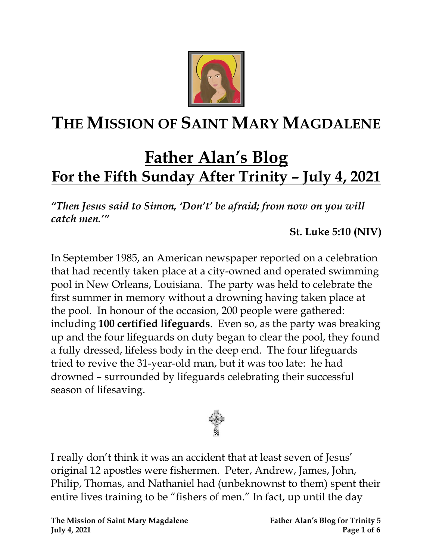

# **THE MISSION OF SAINT MARY MAGDALENE**

# **Father Alan's Blog For the Fifth Sunday After Trinity – July 4, 2021**

*"Then Jesus said to Simon, 'Don't' be afraid; from now on you will catch men.'"* 

## **St. Luke 5:10 (NIV)**

In September 1985, an American newspaper reported on a celebration that had recently taken place at a city-owned and operated swimming pool in New Orleans, Louisiana. The party was held to celebrate the first summer in memory without a drowning having taken place at the pool. In honour of the occasion, 200 people were gathered: including **100 certified lifeguards**. Even so, as the party was breaking up and the four lifeguards on duty began to clear the pool, they found a fully dressed, lifeless body in the deep end. The four lifeguards tried to revive the 31-year-old man, but it was too late: he had drowned – surrounded by lifeguards celebrating their successful season of lifesaving.



I really don't think it was an accident that at least seven of Jesus' original 12 apostles were fishermen. Peter, Andrew, James, John, Philip, Thomas, and Nathaniel had (unbeknownst to them) spent their entire lives training to be "fishers of men." In fact, up until the day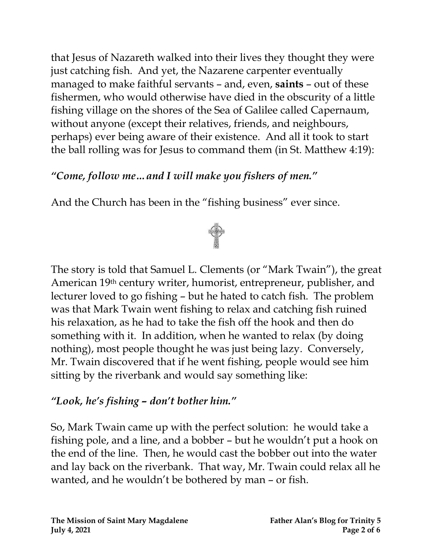that Jesus of Nazareth walked into their lives they thought they were just catching fish. And yet, the Nazarene carpenter eventually managed to make faithful servants – and, even, **saints** – out of these fishermen, who would otherwise have died in the obscurity of a little fishing village on the shores of the Sea of Galilee called Capernaum, without anyone (except their relatives, friends, and neighbours, perhaps) ever being aware of their existence. And all it took to start the ball rolling was for Jesus to command them (in St. Matthew 4:19):

### *"Come, follow me…and I will make you fishers of men."*

And the Church has been in the "fishing business" ever since.



#### *"Look, he's fishing – don't bother him."*

So, Mark Twain came up with the perfect solution: he would take a fishing pole, and a line, and a bobber – but he wouldn't put a hook on the end of the line. Then, he would cast the bobber out into the water and lay back on the riverbank. That way, Mr. Twain could relax all he wanted, and he wouldn't be bothered by man – or fish.

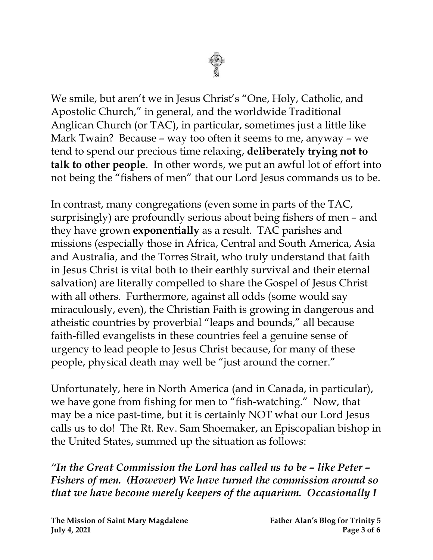We smile, but aren't we in Jesus Christ's "One, Holy, Catholic, and Apostolic Church," in general, and the worldwide Traditional Anglican Church (or TAC), in particular, sometimes just a little like Mark Twain? Because – way too often it seems to me, anyway – we tend to spend our precious time relaxing, **deliberately trying not to talk to other people**. In other words, we put an awful lot of effort into not being the "fishers of men" that our Lord Jesus commands us to be.

In contrast, many congregations (even some in parts of the TAC, surprisingly) are profoundly serious about being fishers of men – and they have grown **exponentially** as a result. TAC parishes and missions (especially those in Africa, Central and South America, Asia and Australia, and the Torres Strait, who truly understand that faith in Jesus Christ is vital both to their earthly survival and their eternal salvation) are literally compelled to share the Gospel of Jesus Christ with all others. Furthermore, against all odds (some would say miraculously, even), the Christian Faith is growing in dangerous and atheistic countries by proverbial "leaps and bounds," all because faith-filled evangelists in these countries feel a genuine sense of urgency to lead people to Jesus Christ because, for many of these people, physical death may well be "just around the corner."

Unfortunately, here in North America (and in Canada, in particular), we have gone from fishing for men to "fish-watching." Now, that may be a nice past-time, but it is certainly NOT what our Lord Jesus calls us to do! The Rt. Rev. Sam Shoemaker, an Episcopalian bishop in the United States, summed up the situation as follows:

*"In the Great Commission the Lord has called us to be – like Peter – Fishers of men. (However) We have turned the commission around so that we have become merely keepers of the aquarium. Occasionally I*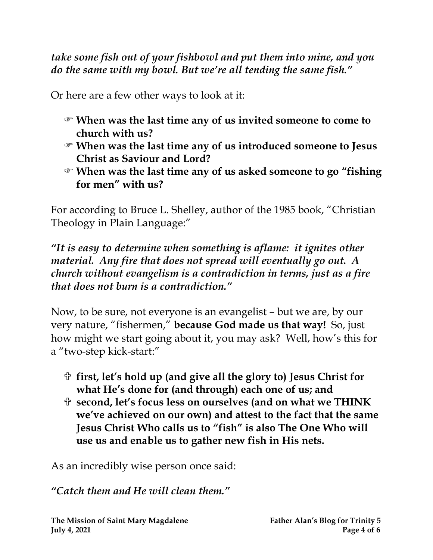*take some fish out of your fishbowl and put them into mine, and you do the same with my bowl. But we're all tending the same fish."*

Or here are a few other ways to look at it:

- **When was the last time any of us invited someone to come to church with us?**
- **When was the last time any of us introduced someone to Jesus Christ as Saviour and Lord?**
- **When was the last time any of us asked someone to go "fishing for men" with us?**

For according to Bruce L. Shelley, author of the 1985 book, "Christian Theology in Plain Language:"

*"It is easy to determine when something is aflame: it ignites other material. Any fire that does not spread will eventually go out. A church without evangelism is a contradiction in terms, just as a fire that does not burn is a contradiction."* 

Now, to be sure, not everyone is an evangelist – but we are, by our very nature, "fishermen," **because God made us that way!** So, just how might we start going about it, you may ask? Well, how's this for a "two-step kick-start:"

- **first, let's hold up (and give all the glory to) Jesus Christ for what He's done for (and through) each one of us; and**
- **second, let's focus less on ourselves (and on what we THINK we've achieved on our own) and attest to the fact that the same Jesus Christ Who calls us to "fish" is also The One Who will use us and enable us to gather new fish in His nets.**

As an incredibly wise person once said:

*"Catch them and He will clean them."*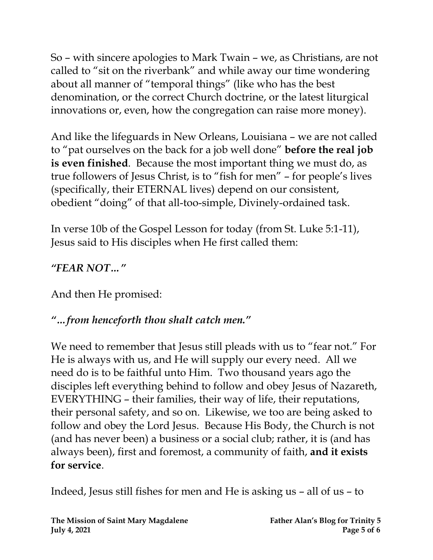So – with sincere apologies to Mark Twain – we, as Christians, are not called to "sit on the riverbank" and while away our time wondering about all manner of "temporal things" (like who has the best denomination, or the correct Church doctrine, or the latest liturgical innovations or, even, how the congregation can raise more money).

And like the lifeguards in New Orleans, Louisiana – we are not called to "pat ourselves on the back for a job well done" **before the real job is even finished**. Because the most important thing we must do, as true followers of Jesus Christ, is to "fish for men" – for people's lives (specifically, their ETERNAL lives) depend on our consistent, obedient "doing" of that all-too-simple, Divinely-ordained task.

In verse 10b of the Gospel Lesson for today (from St. Luke 5:1-11), Jesus said to His disciples when He first called them:

## *"FEAR NOT…"*

And then He promised:

## *"…from henceforth thou shalt catch men."*

We need to remember that Jesus still pleads with us to "fear not." For He is always with us, and He will supply our every need. All we need do is to be faithful unto Him. Two thousand years ago the disciples left everything behind to follow and obey Jesus of Nazareth, EVERYTHING – their families, their way of life, their reputations, their personal safety, and so on. Likewise, we too are being asked to follow and obey the Lord Jesus. Because His Body, the Church is not (and has never been) a business or a social club; rather, it is (and has always been), first and foremost, a community of faith, **and it exists for service**.

Indeed, Jesus still fishes for men and He is asking us – all of us – to